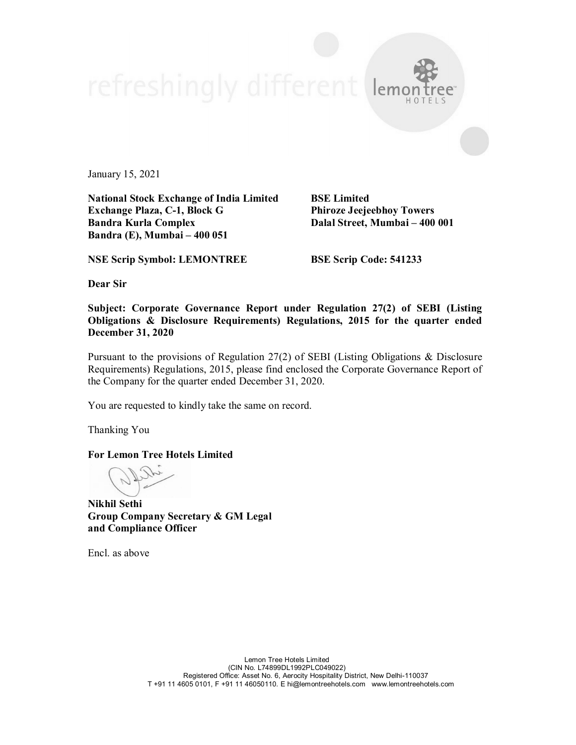lemo

January 15, 2021

**National Stock Exchange of India Limited BSE Limited Exchange Plaza, C-1, Block G Phiroze Jeejeebhoy Towers Bandra Kurla Complex Dalal Street, Mumbai – 400 001 Bandra (E), Mumbai – 400 051**

**NSE Scrip Symbol: LEMONTREE BSE Scrip Code: 541233**

**Dear Sir**

**Subject: Corporate Governance Report under Regulation 27(2) of SEBI (Listing Obligations & Disclosure Requirements) Regulations, 2015 for the quarter ended December 31, 2020**

Pursuant to the provisions of Regulation 27(2) of SEBI (Listing Obligations & Disclosure Requirements) Regulations, 2015, please find enclosed the Corporate Governance Report of the Company for the quarter ended December 31, 2020.

You are requested to kindly take the same on record.

Thanking You

**For Lemon Tree Hotels Limited**

**Nikhil Sethi Group Company Secretary & GM Legal and Compliance Officer**

Encl. as above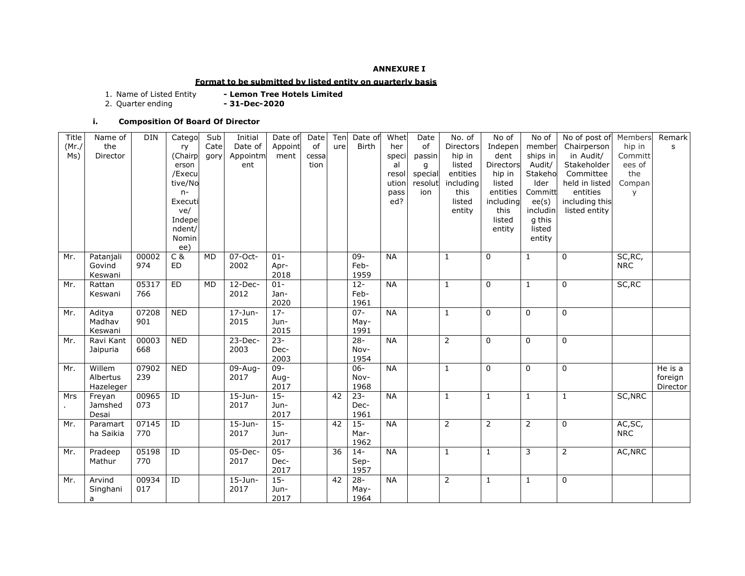### **ANNEXURE I**

## **Format to be submitted by listed entity on quarterly basis**

- Lemon Tree Hotels Limited<br>- 31-Dec-2020 1. Name of Listed Entity<br>2. Quarter ending

# **i. Composition Of Board Of Director**

| Title      | Name of   | <b>DIN</b> | Catego     | Sub       | Initial      | Date of | Date  | Ten | Date of      | Whet      | Date    | No. of           | No of          | No of          | No of post of  | Members    | Remark       |
|------------|-----------|------------|------------|-----------|--------------|---------|-------|-----|--------------|-----------|---------|------------------|----------------|----------------|----------------|------------|--------------|
| (Mr./      | the       |            | ry         | Cate      | Date of      | Appoint | of    | ure | <b>Birth</b> | her       | of      | <b>Directors</b> | Indepen        | member         | Chairperson    | hip in     | $\mathsf{s}$ |
| Ms)        | Director  |            | (Chairp    | gory      | Appointm     | ment    | cessa |     |              | speci     | passin  | hip in           | dent           | ships in       | in Audit/      | Committ    |              |
|            |           |            | erson      |           | ent          |         | tion  |     |              | al        | g       | listed           | Directors      | Audit/         | Stakeholder    | ees of     |              |
|            |           |            | /Execu     |           |              |         |       |     |              | resol     | special | entities         | hip in         | Stakeho        | Committee      | the        |              |
|            |           |            | tive/No    |           |              |         |       |     |              | ution     | resolut | including        | listed         | Ider           | held in listed | Compan     |              |
|            |           |            | $n-$       |           |              |         |       |     |              | pass      | ion     | this             | entities       | Committ        | entities       | V          |              |
|            |           |            | Executi    |           |              |         |       |     |              | ed?       |         | listed           | including      | ee(s)          | including this |            |              |
|            |           |            | ve/        |           |              |         |       |     |              |           |         | entity           | this           | includin       | listed entity  |            |              |
|            |           |            | Indepe     |           |              |         |       |     |              |           |         |                  | listed         | g this         |                |            |              |
|            |           |            | ndent/     |           |              |         |       |     |              |           |         |                  | entity         | listed         |                |            |              |
|            |           |            | Nomin      |           |              |         |       |     |              |           |         |                  |                | entity         |                |            |              |
|            |           |            | ee)        |           |              |         |       |     |              |           |         |                  |                |                |                |            |              |
| Mr.        | Patanjali | 00002      | $C$ &      | MD        | 07-Oct-      | $01 -$  |       |     | 09-          | <b>NA</b> |         | $\mathbf{1}$     | $\mathbf{0}$   | $\mathbf{1}$   | 0              | SC, RC,    |              |
|            | Govind    | 974        | ED         |           | 2002         | Apr-    |       |     | Feb-         |           |         |                  |                |                |                | <b>NRC</b> |              |
|            | Keswani   |            |            |           |              | 2018    |       |     | 1959         |           |         |                  |                |                |                |            |              |
| Mr.        | Rattan    | 05317      | <b>ED</b>  | <b>MD</b> | $12$ -Dec-   | $01 -$  |       |     | $12 -$       | <b>NA</b> |         | $\mathbf{1}$     | $\Omega$       | $\mathbf{1}$   | 0              | SC, RC     |              |
|            | Keswani   | 766        |            |           | 2012         | Jan-    |       |     | Feb-         |           |         |                  |                |                |                |            |              |
|            |           |            |            |           |              | 2020    |       |     | 1961         |           |         |                  |                |                |                |            |              |
| Mr.        | Aditya    | 07208      | <b>NED</b> |           | $17 - Jun -$ | $17 -$  |       |     | $07 -$       | <b>NA</b> |         | $\mathbf{1}$     | $\mathbf{0}$   | $\Omega$       | 0              |            |              |
|            | Madhav    | 901        |            |           | 2015         | Jun-    |       |     | May-         |           |         |                  |                |                |                |            |              |
|            | Keswani   |            |            |           |              | 2015    |       |     | 1991         |           |         |                  |                |                |                |            |              |
| Mr.        | Ravi Kant | 00003      | <b>NED</b> |           | 23-Dec-      | $23 -$  |       |     | $28 -$       | <b>NA</b> |         | $\overline{2}$   | $\mathbf 0$    | $\mathbf 0$    | 0              |            |              |
|            | Jaipuria  | 668        |            |           | 2003         | Dec-    |       |     | Nov-         |           |         |                  |                |                |                |            |              |
|            |           |            |            |           |              | 2003    |       |     | 1954         |           |         |                  |                |                |                |            |              |
| Mr.        | Willem    | 07902      | <b>NED</b> |           | $09-Aug -$   | $09 -$  |       |     | $06 -$       | <b>NA</b> |         | $\mathbf{1}$     | $\Omega$       | $\Omega$       | $\mathbf 0$    |            | He is a      |
|            | Albertus  | 239        |            |           | 2017         | Aug-    |       |     | Nov-         |           |         |                  |                |                |                |            | foreign      |
|            | Hazeleger |            |            |           |              | 2017    |       |     | 1968         |           |         |                  |                |                |                |            | Director     |
| <b>Mrs</b> | Freyan    | 00965      | ID         |           | $15$ -Jun-   | $15 -$  |       | 42  | $23 -$       | <b>NA</b> |         | $\mathbf{1}$     | $\mathbf{1}$   | $\mathbf{1}$   | $\mathbf{1}$   | SC, NRC    |              |
|            | Jamshed   | 073        |            |           | 2017         | Jun-    |       |     | Dec-         |           |         |                  |                |                |                |            |              |
|            | Desai     |            |            |           |              | 2017    |       |     | 1961         |           |         |                  |                |                |                |            |              |
| Mr.        | Paramart  | 07145      | ID         |           | $15$ -Jun-   | $15 -$  |       | 42  | $15 -$       | <b>NA</b> |         | $\overline{2}$   | $\overline{2}$ | $\overline{2}$ | $\mathbf 0$    | AC, SC,    |              |
|            | ha Saikia | 770        |            |           | 2017         | Jun-    |       |     | Mar-         |           |         |                  |                |                |                | <b>NRC</b> |              |
|            |           |            |            |           |              | 2017    |       |     | 1962         |           |         |                  |                |                |                |            |              |
| Mr.        | Pradeep   | 05198      | ID         |           | $05$ -Dec-   | $05 -$  |       | 36  | $14 -$       | <b>NA</b> |         | $\mathbf{1}$     | $\mathbf{1}$   | 3              | $\overline{2}$ | AC, NRC    |              |
|            | Mathur    | 770        |            |           | 2017         | Dec-    |       |     | Sep-         |           |         |                  |                |                |                |            |              |
|            |           |            |            |           |              | 2017    |       |     | 1957         |           |         |                  |                |                |                |            |              |
| Mr.        | Arvind    | 00934      | ID         |           | $15$ -Jun-   | $15 -$  |       | 42  | $28 -$       | <b>NA</b> |         | 2                | $\mathbf{1}$   | $\mathbf{1}$   | 0              |            |              |
|            | Singhani  | 017        |            |           | 2017         | Jun-    |       |     | May-         |           |         |                  |                |                |                |            |              |
|            | a         |            |            |           |              | 2017    |       |     | 1964         |           |         |                  |                |                |                |            |              |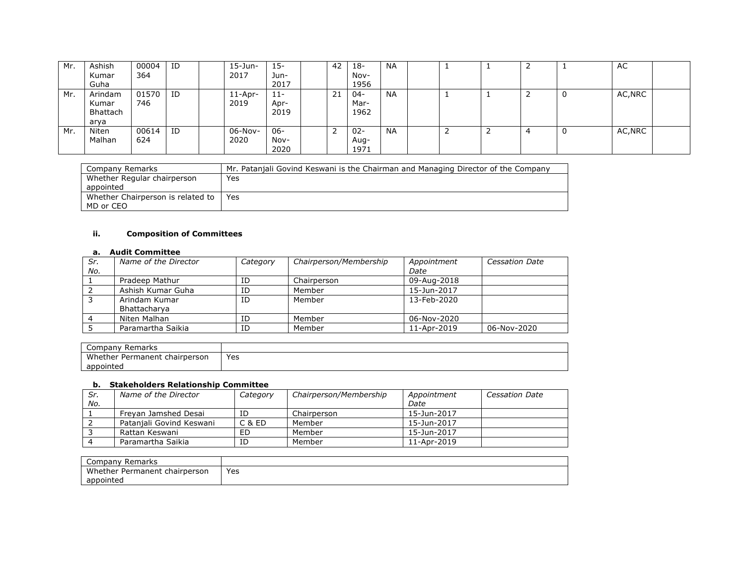| Mr. | Ashish<br>Kumar<br>Guha              | 00004<br>364 | ID             | $15$ -Jun-<br>2017 | $15 -$<br>Jun-<br>2017 | 42 | 18-<br>Nov-<br>1956    | <b>NA</b> |   | <u>_</u> | л. | AC      |  |
|-----|--------------------------------------|--------------|----------------|--------------------|------------------------|----|------------------------|-----------|---|----------|----|---------|--|
| Mr. | Arindam<br>Kumar<br>Bhattach<br>arya | 01570<br>746 | $\overline{1}$ | 11-Apr-<br>2019    | $11 -$<br>Apr-<br>2019 | 21 | $04 -$<br>Mar-<br>1962 | <b>NA</b> |   |          | ັບ | AC, NRC |  |
| Mr. | Niten<br>Malhan                      | 00614<br>624 | ID             | $06-Nov-$<br>2020  | $06 -$<br>Nov-<br>2020 | ∼  | $02 -$<br>Aug-<br>1971 | <b>NA</b> | ∸ | 4        | ັບ | AC, NRC |  |

| Company Remarks                   | Mr. Patanjali Govind Keswani is the Chairman and Managing Director of the Company |
|-----------------------------------|-----------------------------------------------------------------------------------|
| Whether Regular chairperson       | Yes                                                                               |
| appointed                         |                                                                                   |
| Whether Chairperson is related to | Yes                                                                               |
| MD or CEO                         |                                                                                   |

### **ii. Composition of Committees**

#### **a. Audit Committee**

| Sr. | Name of the Director | Category | Chairperson/Membership | Appointment              | <b>Cessation Date</b> |
|-----|----------------------|----------|------------------------|--------------------------|-----------------------|
| No. |                      |          |                        | Date                     |                       |
|     | Pradeep Mathur       | ΙD       | Chairperson            | 09-Aug-2018              |                       |
|     | Ashish Kumar Guha    | ID       | Member                 | 15-Jun-2017              |                       |
|     | Arindam Kumar        | ID       | Member                 | $13 - \text{Feh} - 2020$ |                       |
|     | Bhattacharya         |          |                        |                          |                       |
|     | Niten Malhan         | ΙD       | Member                 | 06-Nov-2020              |                       |
|     | Paramartha Saikia    | ΙD       | Member                 | 11-Apr-2019              | 06-Nov-2020           |

| Company<br>Remarks                      |     |
|-----------------------------------------|-----|
| Mh<br>chairperson<br>ether<br>Permanent | Yes |
| appointed                               |     |

#### **b. Stakeholders Relationship Committee**

| Sr. | Name of the Director     | Category | Chairperson/Membership | Appointment | Cessation Date |
|-----|--------------------------|----------|------------------------|-------------|----------------|
| No. |                          |          |                        | Date        |                |
|     | Frevan Jamshed Desai     | ID       | Chairperson            | 15-Jun-2017 |                |
|     | Pataniali Govind Keswani | C & ED   | Member                 | 15-Jun-2017 |                |
|     | Rattan Keswani           | ED       | Member                 | 15-Jun-2017 |                |
|     | Paramartha Saikia        | ID       | Member                 | 11-Apr-2019 |                |

| Remarks<br>Compan             |     |
|-------------------------------|-----|
| Whether Permanent chairperson | Yes |
| appointed                     |     |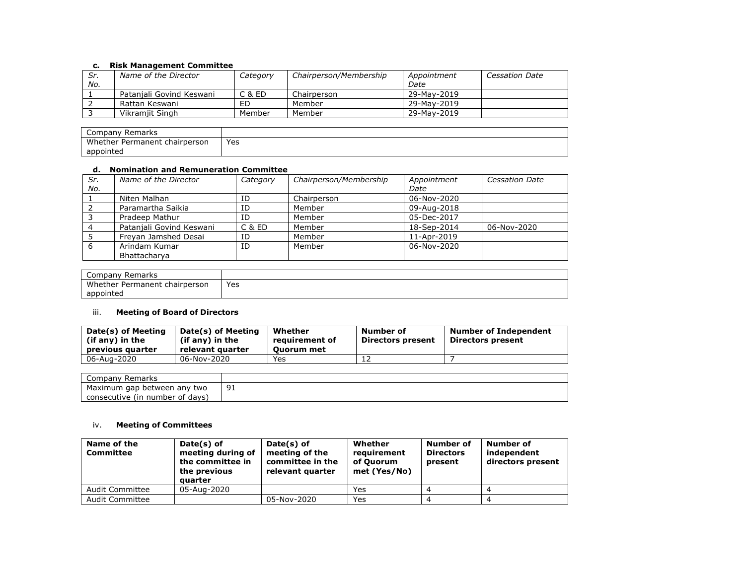### **c. Risk Management Committee**

| Sr. | Name of the Director     |          |                        |             | <b>Cessation Date</b> |
|-----|--------------------------|----------|------------------------|-------------|-----------------------|
|     |                          | Category | Chairperson/Membership | Appointment |                       |
| No. |                          |          |                        | Date        |                       |
|     | Pataniali Govind Keswani | C & ED   | Chairperson            | 29-May-2019 |                       |
|     | Rattan Keswani           | ED       | Member                 | 29-May-2019 |                       |
|     | Vikramiit Singh          | Member   | Member                 | 29-May-2019 |                       |

| Company<br>Remarks                              |             |
|-------------------------------------------------|-------------|
| Whether<br>chairperson<br>Permanen <sup>*</sup> | Yes<br>$ -$ |
| appointed                                       |             |

## **d. Nomination and Remuneration Committee**

| Sr.<br>No. | Name of the Director     | Category | Chairperson/Membership | Appointment<br>Date | <b>Cessation Date</b> |
|------------|--------------------------|----------|------------------------|---------------------|-----------------------|
|            | Niten Malhan             | ID       | Chairperson            | 06-Nov-2020         |                       |
|            | Paramartha Saikia        | ID       | Member                 | 09-Aug-2018         |                       |
|            | Pradeep Mathur           | ID       | Member                 | 05-Dec-2017         |                       |
|            | Patanjali Govind Keswani | C & ED   | Member                 | 18-Sep-2014         | 06-Nov-2020           |
|            | Freyan Jamshed Desai     | ID       | Member                 | 11-Apr-2019         |                       |
| 6          | Arindam Kumar            | ID       | Member                 | 06-Nov-2020         |                       |
|            | Bhattacharva             |          |                        |                     |                       |

| Company<br>Remarks                |     |
|-----------------------------------|-----|
| Whether Permanent<br>∶chairperson | Yes |
| appointed                         |     |

## iii. **Meeting of Board of Directors**

| Date(s) of Meeting<br>(if any) in the<br>previous quarter | Date(s) of Meeting<br>(if any) in the<br>relevant quarter | Whether<br>reauirement of<br>Ouorum met | Number of<br><b>Directors present</b> | <b>Number of Independent</b><br>Directors present |
|-----------------------------------------------------------|-----------------------------------------------------------|-----------------------------------------|---------------------------------------|---------------------------------------------------|
| 06-Aug-2020                                               | 06-Nov-2020                                               | Yes                                     |                                       |                                                   |

| Company<br>Remarks              |              |
|---------------------------------|--------------|
| Maximum gap between any two     | ╯∸<br>$\sim$ |
| consecutive (in number of days) |              |

### iv. **Meeting of Committees**

| Name of the<br>Committee | Date(s) of<br>meeting during of<br>the committee in<br>the previous<br>quarter | Date(s) of<br>meeting of the<br>committee in the<br>relevant quarter | Whether<br>requirement<br>of Ouorum<br>met (Yes/No) | Number of<br><b>Directors</b><br>present | Number of<br>independent<br>directors present |
|--------------------------|--------------------------------------------------------------------------------|----------------------------------------------------------------------|-----------------------------------------------------|------------------------------------------|-----------------------------------------------|
| Audit Committee          | 05-Aug-2020                                                                    |                                                                      | Yes                                                 |                                          |                                               |
| <b>Audit Committee</b>   |                                                                                | 05-Nov-2020                                                          | Yes                                                 |                                          |                                               |